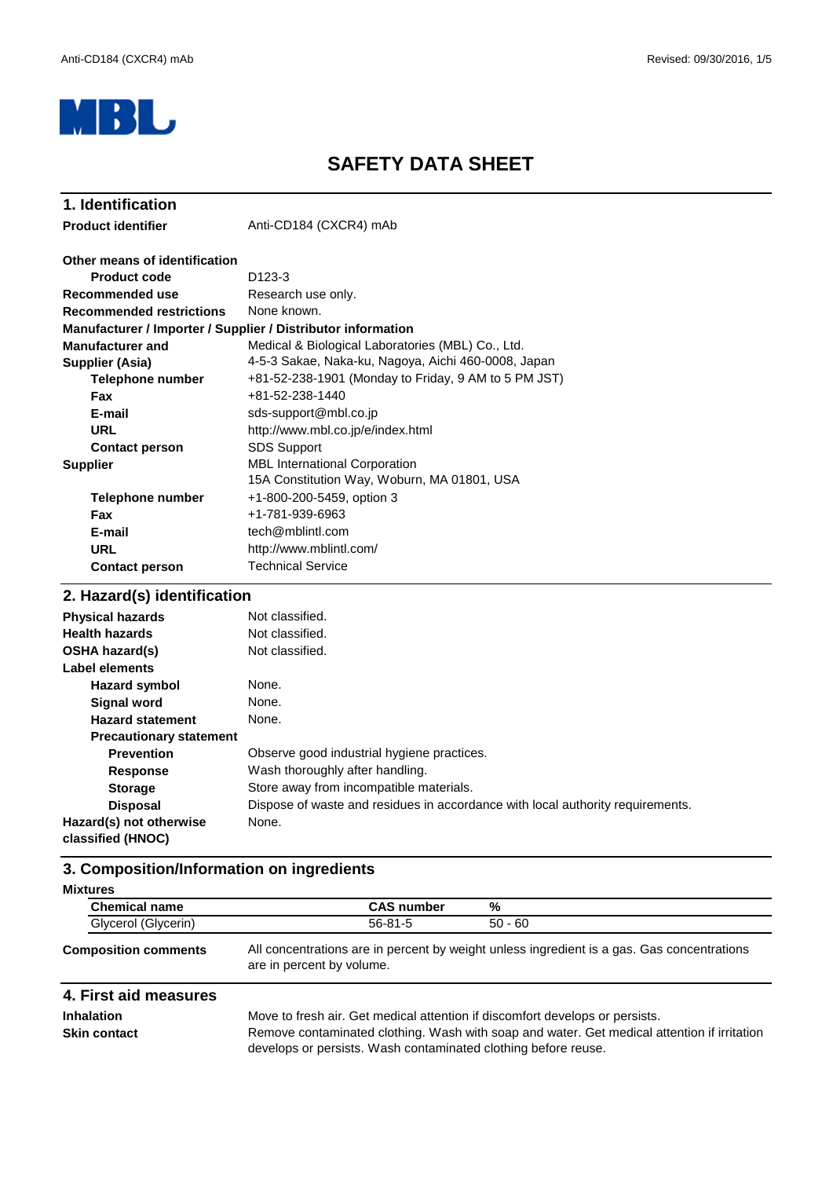

### **SAFETY DATA SHEET**

| 1. Identification                                            |                                                                                     |
|--------------------------------------------------------------|-------------------------------------------------------------------------------------|
| <b>Product identifier</b>                                    | Anti-CD184 (CXCR4) mAb                                                              |
| Other means of identification                                |                                                                                     |
| <b>Product code</b>                                          | D <sub>123</sub> -3                                                                 |
| Recommended use                                              | Research use only.                                                                  |
| <b>Recommended restrictions</b>                              | None known.                                                                         |
| Manufacturer / Importer / Supplier / Distributor information |                                                                                     |
| <b>Manufacturer and</b>                                      | Medical & Biological Laboratories (MBL) Co., Ltd.                                   |
| Supplier (Asia)                                              | 4-5-3 Sakae, Naka-ku, Nagoya, Aichi 460-0008, Japan                                 |
| Telephone number                                             | +81-52-238-1901 (Monday to Friday, 9 AM to 5 PM JST)                                |
| <b>Fax</b>                                                   | +81-52-238-1440                                                                     |
| E-mail                                                       | sds-support@mbl.co.jp                                                               |
| <b>URL</b>                                                   | http://www.mbl.co.jp/e/index.html                                                   |
| <b>Contact person</b>                                        | <b>SDS Support</b>                                                                  |
| <b>Supplier</b>                                              | <b>MBL International Corporation</b><br>15A Constitution Way, Woburn, MA 01801, USA |
| <b>Telephone number</b>                                      | +1-800-200-5459, option 3                                                           |
| Fax                                                          | +1-781-939-6963                                                                     |
| E-mail                                                       | tech@mblintl.com                                                                    |
| <b>URL</b>                                                   | http://www.mblintl.com/                                                             |
| <b>Contact person</b>                                        | <b>Technical Service</b>                                                            |
| 2 Hazard(c) identification                                   |                                                                                     |

#### **Hazard symbol Signal word Hazard statement Precautionary statement Prevention Response Storage Disposal Hazard(s) not otherwise classified (HNOC)** None. Not classified. None. **Health hazards** Not classified. **OSHA hazard(s)** Wash thoroughly after handling. Store away from incompatible materials. **Label elements Physical hazards** Not classified. None. Observe good industrial hygiene practices. Dispose of waste and residues in accordance with local authority requirements. None. **2. Hazard(s) identification**

#### **3. Composition/Information on ingredients**

| <b>Mixtures</b>             |                   |                                                                                            |
|-----------------------------|-------------------|--------------------------------------------------------------------------------------------|
| <b>Chemical name</b>        | <b>CAS number</b> | %                                                                                          |
| Glycerol (Glycerin)         | $56 - 81 - 5$     | $50 - 60$                                                                                  |
| <b>Composition comments</b> |                   | All concentrations are in percent by weight unless ingredient is a gas. Gas concentrations |

# are in percent by volume.

### **4. First aid measures**

**Inhalation**

Move to fresh air. Get medical attention if discomfort develops or persists. **Skin contact** Remove contaminated clothing. Wash with soap and water. Get medical attention if irritation develops or persists. Wash contaminated clothing before reuse.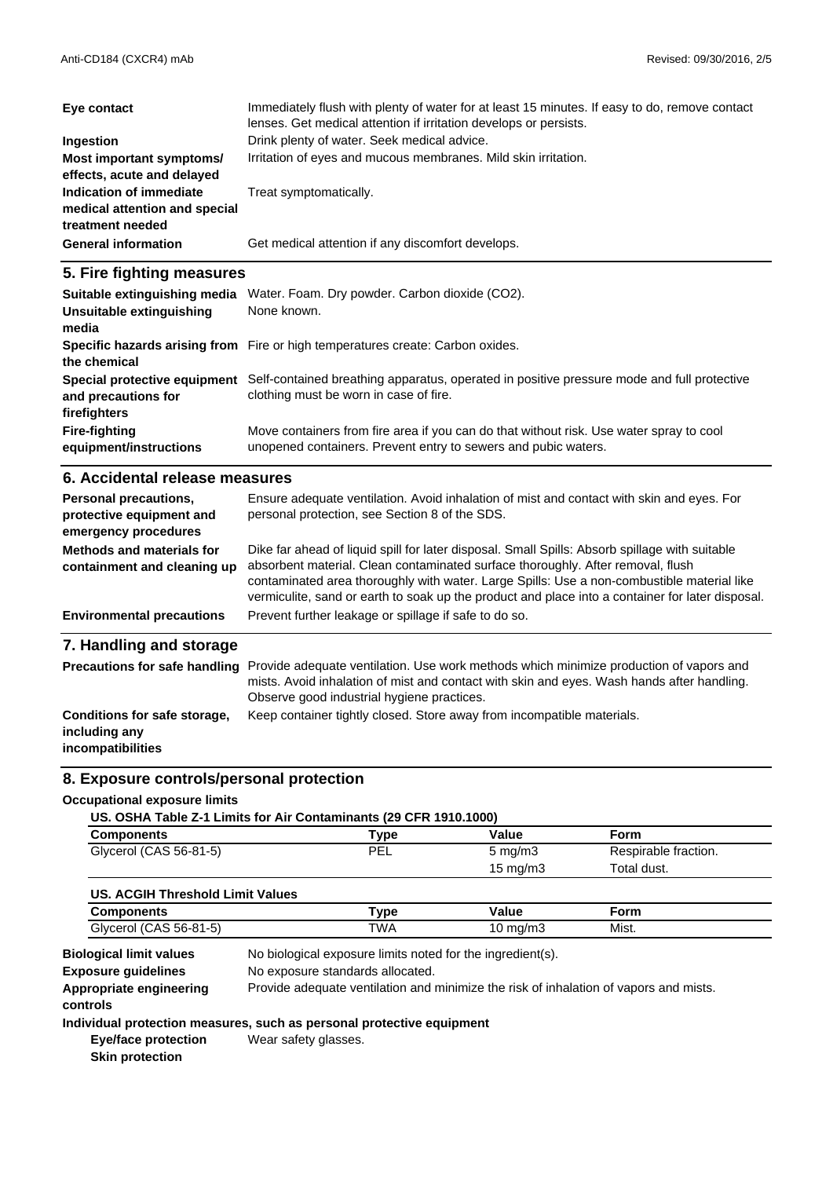| Eye contact                                                                  | Immediately flush with plenty of water for at least 15 minutes. If easy to do, remove contact<br>lenses. Get medical attention if irritation develops or persists. |
|------------------------------------------------------------------------------|--------------------------------------------------------------------------------------------------------------------------------------------------------------------|
| Ingestion                                                                    | Drink plenty of water. Seek medical advice.                                                                                                                        |
| Most important symptoms/<br>effects, acute and delayed                       | Irritation of eyes and mucous membranes. Mild skin irritation.                                                                                                     |
| Indication of immediate<br>medical attention and special<br>treatment needed | Treat symptomatically.                                                                                                                                             |
| <b>General information</b>                                                   | Get medical attention if any discomfort develops.                                                                                                                  |

#### **5. Fire fighting measures**

| Suitable extinguishing media<br>Unsuitable extinguishing<br>media | Water. Foam. Dry powder. Carbon dioxide (CO2).<br>None known.                                                                                             |
|-------------------------------------------------------------------|-----------------------------------------------------------------------------------------------------------------------------------------------------------|
| the chemical                                                      | Specific hazards arising from Fire or high temperatures create: Carbon oxides.                                                                            |
| Special protective equipment<br>and precautions for               | Self-contained breathing apparatus, operated in positive pressure mode and full protective<br>clothing must be worn in case of fire.                      |
| firefighters                                                      |                                                                                                                                                           |
| <b>Fire-fighting</b><br>equipment/instructions                    | Move containers from fire area if you can do that without risk. Use water spray to cool<br>unopened containers. Prevent entry to sewers and pubic waters. |

#### **6. Accidental release measures**

| Personal precautions,<br>protective equipment and<br>emergency procedures | Ensure adequate ventilation. Avoid inhalation of mist and contact with skin and eyes. For<br>personal protection, see Section 8 of the SDS.                                                                                                                                                                                                                                         |
|---------------------------------------------------------------------------|-------------------------------------------------------------------------------------------------------------------------------------------------------------------------------------------------------------------------------------------------------------------------------------------------------------------------------------------------------------------------------------|
| Methods and materials for<br>containment and cleaning up                  | Dike far ahead of liquid spill for later disposal. Small Spills: Absorb spillage with suitable<br>absorbent material. Clean contaminated surface thoroughly. After removal, flush<br>contaminated area thoroughly with water. Large Spills: Use a non-combustible material like<br>vermiculite, sand or earth to soak up the product and place into a container for later disposal. |
| <b>Environmental precautions</b>                                          | Prevent further leakage or spillage if safe to do so.                                                                                                                                                                                                                                                                                                                               |
| 7. Handling and storage                                                   |                                                                                                                                                                                                                                                                                                                                                                                     |
| <b>Precautions for safe handling</b>                                      | Provide adequate ventilation. Use work methods which minimize production of vapors and<br>mists. Avoid inhalation of mist and contact with skin and eyes. Wash hands after handling.<br>Observe good industrial hygiene practices.                                                                                                                                                  |

#### Keep container tightly closed. Store away from incompatible materials. **Conditions for safe storage, including any**

**incompatibilities**

#### **8. Exposure controls/personal protection**

#### **Occupational exposure limits**

|  | US. OSHA Table Z-1 Limits for Air Contaminants (29 CFR 1910.1000) |  |
|--|-------------------------------------------------------------------|--|
|  |                                                                   |  |

| Components             | Type. | Value               | Form                 |  |
|------------------------|-------|---------------------|----------------------|--|
| Glycerol (CAS 56-81-5) | PEL   | $5 \,\mathrm{mg/m}$ | Respirable fraction. |  |
|                        |       | 15 mg/m3            | Total dust.          |  |

| US. ACGIH Threshold Limit Values |      |                   |       |  |
|----------------------------------|------|-------------------|-------|--|
| Components                       | Type | Value             | Form  |  |
| Glycerol (CAS 56-81-5)           | TWA  | $10 \text{ mg/m}$ | Mist. |  |

**Appropriate engineering** Provide adequate ventilation and minimize the risk of inhalation of vapors and mists. **controls** No exposure standards allocated. **Exposure guidelines** No biological exposure limits noted for the ingredient(s). **Biological limit values**

#### **Individual protection measures, such as personal protective equipment**

**Eye/face protection Skin protection** Wear safety glasses.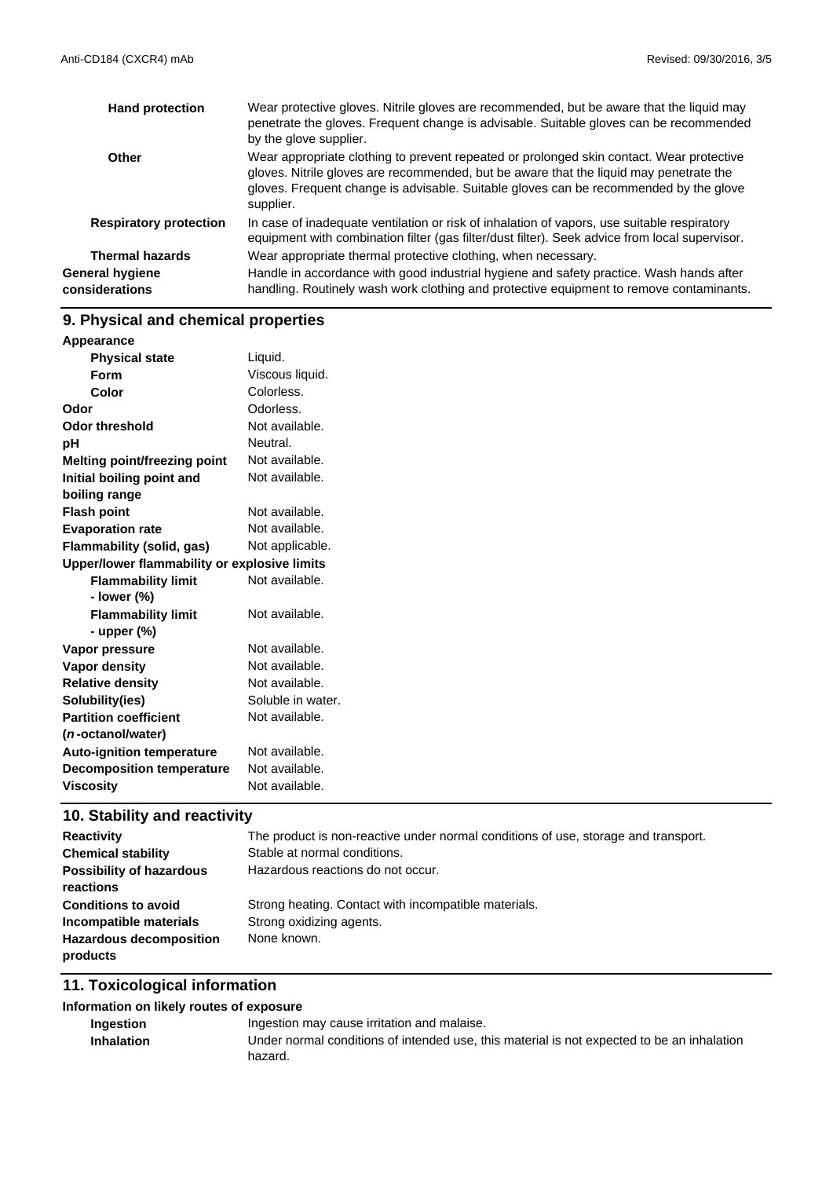| <b>Hand protection</b>            | Wear protective gloves. Nitrile gloves are recommended, but be aware that the liquid may<br>penetrate the gloves. Frequent change is advisable. Suitable gloves can be recommended<br>by the glove supplier.                                                                             |
|-----------------------------------|------------------------------------------------------------------------------------------------------------------------------------------------------------------------------------------------------------------------------------------------------------------------------------------|
| Other                             | Wear appropriate clothing to prevent repeated or prolonged skin contact. Wear protective<br>gloves. Nitrile gloves are recommended, but be aware that the liquid may penetrate the<br>gloves. Frequent change is advisable. Suitable gloves can be recommended by the glove<br>supplier. |
| <b>Respiratory protection</b>     | In case of inadequate ventilation or risk of inhalation of vapors, use suitable respiratory<br>equipment with combination filter (gas filter/dust filter). Seek advice from local supervisor.                                                                                            |
| <b>Thermal hazards</b>            | Wear appropriate thermal protective clothing, when necessary.                                                                                                                                                                                                                            |
| General hygiene<br>considerations | Handle in accordance with good industrial hygiene and safety practice. Wash hands after<br>handling. Routinely wash work clothing and protective equipment to remove contaminants.                                                                                                       |

## **9. Physical and chemical properties**

| Liquid.<br><b>Physical state</b><br>Viscous liquid.<br><b>Form</b><br>Colorless.<br>Color<br>Odorless.<br>Not available.<br>Neutral.<br>Not available.<br>Not available.<br>Not available.<br>Not available.<br>Not applicable.<br>Upper/lower flammability or explosive limits<br><b>Flammability limit</b><br>Not available.<br>- lower (%)<br>Not available.<br><b>Flammability limit</b><br>- upper $(\%)$<br>Not available.<br>Not available.<br>Not available.<br>Soluble in water.<br>Not available.<br>Not available.<br>Not available.<br>Not available. | Appearance                          |  |
|-------------------------------------------------------------------------------------------------------------------------------------------------------------------------------------------------------------------------------------------------------------------------------------------------------------------------------------------------------------------------------------------------------------------------------------------------------------------------------------------------------------------------------------------------------------------|-------------------------------------|--|
|                                                                                                                                                                                                                                                                                                                                                                                                                                                                                                                                                                   |                                     |  |
|                                                                                                                                                                                                                                                                                                                                                                                                                                                                                                                                                                   |                                     |  |
|                                                                                                                                                                                                                                                                                                                                                                                                                                                                                                                                                                   |                                     |  |
|                                                                                                                                                                                                                                                                                                                                                                                                                                                                                                                                                                   | Odor                                |  |
|                                                                                                                                                                                                                                                                                                                                                                                                                                                                                                                                                                   | <b>Odor threshold</b>               |  |
|                                                                                                                                                                                                                                                                                                                                                                                                                                                                                                                                                                   | pH                                  |  |
|                                                                                                                                                                                                                                                                                                                                                                                                                                                                                                                                                                   | <b>Melting point/freezing point</b> |  |
|                                                                                                                                                                                                                                                                                                                                                                                                                                                                                                                                                                   | Initial boiling point and           |  |
|                                                                                                                                                                                                                                                                                                                                                                                                                                                                                                                                                                   | boiling range                       |  |
|                                                                                                                                                                                                                                                                                                                                                                                                                                                                                                                                                                   | <b>Flash point</b>                  |  |
|                                                                                                                                                                                                                                                                                                                                                                                                                                                                                                                                                                   | <b>Evaporation rate</b>             |  |
|                                                                                                                                                                                                                                                                                                                                                                                                                                                                                                                                                                   | Flammability (solid, gas)           |  |
|                                                                                                                                                                                                                                                                                                                                                                                                                                                                                                                                                                   |                                     |  |
|                                                                                                                                                                                                                                                                                                                                                                                                                                                                                                                                                                   |                                     |  |
|                                                                                                                                                                                                                                                                                                                                                                                                                                                                                                                                                                   |                                     |  |
|                                                                                                                                                                                                                                                                                                                                                                                                                                                                                                                                                                   |                                     |  |
|                                                                                                                                                                                                                                                                                                                                                                                                                                                                                                                                                                   |                                     |  |
|                                                                                                                                                                                                                                                                                                                                                                                                                                                                                                                                                                   | Vapor pressure                      |  |
|                                                                                                                                                                                                                                                                                                                                                                                                                                                                                                                                                                   | <b>Vapor density</b>                |  |
|                                                                                                                                                                                                                                                                                                                                                                                                                                                                                                                                                                   | <b>Relative density</b>             |  |
|                                                                                                                                                                                                                                                                                                                                                                                                                                                                                                                                                                   | Solubility(ies)                     |  |
|                                                                                                                                                                                                                                                                                                                                                                                                                                                                                                                                                                   | <b>Partition coefficient</b>        |  |
|                                                                                                                                                                                                                                                                                                                                                                                                                                                                                                                                                                   | ( <i>n</i> -octanol/water)          |  |
|                                                                                                                                                                                                                                                                                                                                                                                                                                                                                                                                                                   | <b>Auto-ignition temperature</b>    |  |
|                                                                                                                                                                                                                                                                                                                                                                                                                                                                                                                                                                   | <b>Decomposition temperature</b>    |  |
|                                                                                                                                                                                                                                                                                                                                                                                                                                                                                                                                                                   | <b>Viscosity</b>                    |  |

## **10. Stability and reactivity**

| The product is non-reactive under normal conditions of use, storage and transport. |
|------------------------------------------------------------------------------------|
| Stable at normal conditions.                                                       |
| Hazardous reactions do not occur.                                                  |
|                                                                                    |
| Strong heating. Contact with incompatible materials.                               |
| Strong oxidizing agents.                                                           |
| None known.                                                                        |
|                                                                                    |
|                                                                                    |

### **11. Toxicological information**

#### **Information on likely routes of exposure**

| <b>Ingestion</b>  | Ingestion may cause irritation and malaise.                                                |
|-------------------|--------------------------------------------------------------------------------------------|
| <b>Inhalation</b> | Under normal conditions of intended use, this material is not expected to be an inhalation |
|                   | hazard.                                                                                    |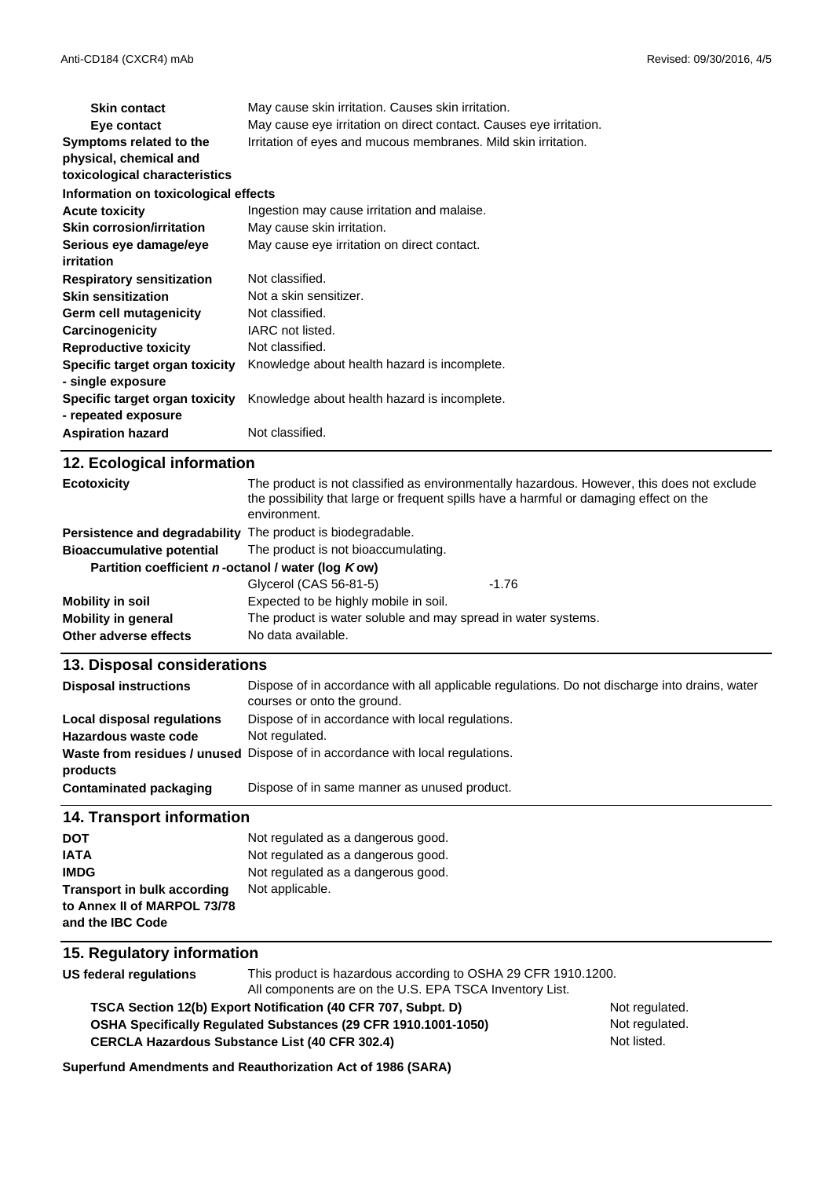| <b>Skin contact</b>                  | May cause skin irritation. Causes skin irritation.                 |  |
|--------------------------------------|--------------------------------------------------------------------|--|
| Eye contact                          | May cause eye irritation on direct contact. Causes eye irritation. |  |
| Symptoms related to the              | Irritation of eyes and mucous membranes. Mild skin irritation.     |  |
| physical, chemical and               |                                                                    |  |
| toxicological characteristics        |                                                                    |  |
| Information on toxicological effects |                                                                    |  |
| <b>Acute toxicity</b>                | Ingestion may cause irritation and malaise.                        |  |
| <b>Skin corrosion/irritation</b>     | May cause skin irritation.                                         |  |
| Serious eye damage/eye               | May cause eye irritation on direct contact.                        |  |
| <i>irritation</i>                    |                                                                    |  |
| <b>Respiratory sensitization</b>     | Not classified.                                                    |  |
| <b>Skin sensitization</b>            | Not a skin sensitizer.                                             |  |
| Germ cell mutagenicity               | Not classified.                                                    |  |
| Carcinogenicity                      | IARC not listed.                                                   |  |
| <b>Reproductive toxicity</b>         | Not classified.                                                    |  |
| Specific target organ toxicity       | Knowledge about health hazard is incomplete.                       |  |
| - single exposure                    |                                                                    |  |
| Specific target organ toxicity       | Knowledge about health hazard is incomplete.                       |  |
| - repeated exposure                  |                                                                    |  |
| <b>Aspiration hazard</b>             | Not classified.                                                    |  |
| 12 Ecological information            |                                                                    |  |

| $12.$ Loorogioal IIIIoniaaloni                              |                                                                                                                                                                                                      |         |
|-------------------------------------------------------------|------------------------------------------------------------------------------------------------------------------------------------------------------------------------------------------------------|---------|
| <b>Ecotoxicity</b>                                          | The product is not classified as environmentally hazardous. However, this does not exclude<br>the possibility that large or frequent spills have a harmful or damaging effect on the<br>environment. |         |
| Persistence and degradability The product is biodegradable. |                                                                                                                                                                                                      |         |
| <b>Bioaccumulative potential</b>                            | The product is not bioaccumulating.                                                                                                                                                                  |         |
| Partition coefficient n-octanol / water (log Kow)           |                                                                                                                                                                                                      |         |
|                                                             | Glycerol (CAS 56-81-5)                                                                                                                                                                               | $-1.76$ |
| Mobility in soil                                            | Expected to be highly mobile in soil.                                                                                                                                                                |         |
| <b>Mobility in general</b>                                  | The product is water soluble and may spread in water systems.                                                                                                                                        |         |
| Other adverse effects                                       | No data available.                                                                                                                                                                                   |         |

#### **13. Disposal considerations**

| <b>Disposal instructions</b> | Dispose of in accordance with all applicable regulations. Do not discharge into drains, water<br>courses or onto the ground. |
|------------------------------|------------------------------------------------------------------------------------------------------------------------------|
| Local disposal regulations   | Dispose of in accordance with local regulations.                                                                             |
| Hazardous waste code         | Not regulated.                                                                                                               |
|                              | Waste from residues / unused Dispose of in accordance with local regulations.                                                |
| products                     |                                                                                                                              |
| Contaminated packaging       | Dispose of in same manner as unused product.                                                                                 |

#### **14. Transport information**

| <b>DOT</b>                         | Not regulated as a dangerous good. |
|------------------------------------|------------------------------------|
| <b>IATA</b>                        | Not regulated as a dangerous good. |
| <b>IMDG</b>                        | Not regulated as a dangerous good. |
| <b>Transport in bulk according</b> | Not applicable.                    |
| to Annex II of MARPOL 73/78        |                                    |
| and the IBC Code                   |                                    |

#### **15. Regulatory information**

**US federal regulations** This product is hazardous according to OSHA 29 CFR 1910.1200. All components are on the U.S. EPA TSCA Inventory List.

**OSHA Specifically Regulated Substances (29 CFR 1910.1001-1050) TSCA Section 12(b) Export Notification (40 CFR 707, Subpt. D)** Not regulated.

Not regulated. Not listed.

**Superfund Amendments and Reauthorization Act of 1986 (SARA)**

**CERCLA Hazardous Substance List (40 CFR 302.4)**